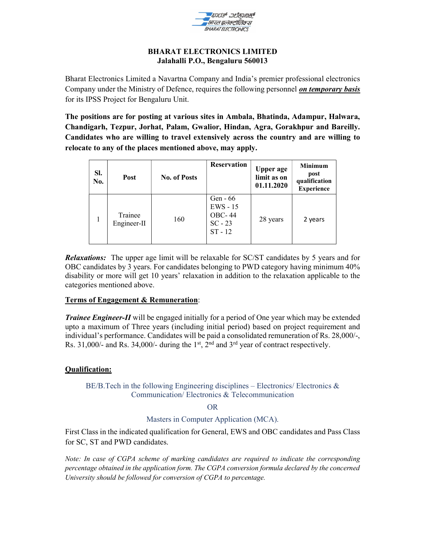

#### BHARAT ELECTRONICS LIMITED Jalahalli P.O., Bengaluru 560013

Bharat Electronics Limited a Navartna Company and India's premier professional electronics Company under the Ministry of Defence, requires the following personnel *on temporary basis* for its IPSS Project for Bengaluru Unit.

The positions are for posting at various sites in Ambala, Bhatinda, Adampur, Halwara, Chandigarh, Tezpur, Jorhat, Palam, Gwalior, Hindan, Agra, Gorakhpur and Bareilly. Candidates who are willing to travel extensively across the country and are willing to relocate to any of the places mentioned above, may apply.

| SI.<br>No. | Post                   | <b>No. of Posts</b> | <b>Reservation</b>                                                 | <b>Upper age</b><br>limit as on<br>01.11.2020 | <b>Minimum</b><br>post<br>qualification<br><b>Experience</b> |
|------------|------------------------|---------------------|--------------------------------------------------------------------|-----------------------------------------------|--------------------------------------------------------------|
|            | Trainee<br>Engineer-II | 160                 | Gen $-66$<br>$EWS - 15$<br><b>OBC-44</b><br>$SC - 23$<br>$ST - 12$ | 28 years                                      | 2 years                                                      |

**Relaxations:** The upper age limit will be relaxable for SC/ST candidates by 5 years and for OBC candidates by 3 years. For candidates belonging to PWD category having minimum 40% disability or more will get 10 years' relaxation in addition to the relaxation applicable to the categories mentioned above.

## Terms of Engagement & Remuneration:

**Trainee Engineer-II** will be engaged initially for a period of One year which may be extended upto a maximum of Three years (including initial period) based on project requirement and individual's performance. Candidates will be paid a consolidated remuneration of Rs. 28,000/-, Rs. 31,000/- and Rs. 34,000/- during the 1<sup>st</sup>,  $2<sup>nd</sup>$  and 3<sup>rd</sup> year of contract respectively.

## Qualification:

BE/B.Tech in the following Engineering disciplines – Electronics/ Electronics  $\&$ Communication/ Electronics & Telecommunication

OR

## Masters in Computer Application (MCA).

First Class in the indicated qualification for General, EWS and OBC candidates and Pass Class for SC, ST and PWD candidates.

Note: In case of CGPA scheme of marking candidates are required to indicate the corresponding percentage obtained in the application form. The CGPA conversion formula declared by the concerned University should be followed for conversion of CGPA to percentage.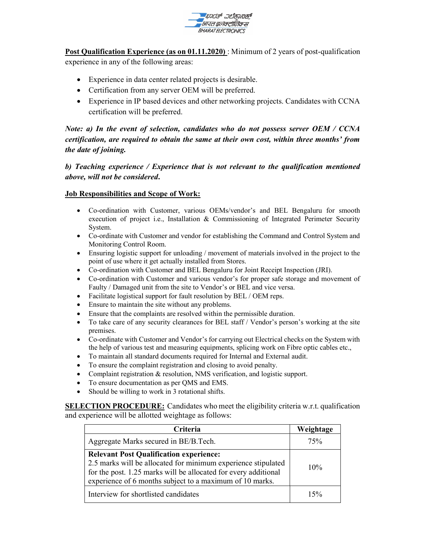

Post Qualification Experience (as on 01.11.2020) : Minimum of 2 years of post-qualification experience in any of the following areas:

- Experience in data center related projects is desirable.
- Certification from any server OEM will be preferred.
- Experience in IP based devices and other networking projects. Candidates with CCNA certification will be preferred.

Note: a) In the event of selection, candidates who do not possess server OEM / CCNA certification, are required to obtain the same at their own cost, within three months' from the date of joining.

b) Teaching experience / Experience that is not relevant to the qualification mentioned above, will not be considered.

## Job Responsibilities and Scope of Work:

- Co-ordination with Customer, various OEMs/vendor's and BEL Bengaluru for smooth execution of project i.e., Installation & Commissioning of Integrated Perimeter Security System.
- Co-ordinate with Customer and vendor for establishing the Command and Control System and Monitoring Control Room.
- Ensuring logistic support for unloading / movement of materials involved in the project to the point of use where it get actually installed from Stores.
- Co-ordination with Customer and BEL Bengaluru for Joint Receipt Inspection (JRI).
- Co-ordination with Customer and various vendor's for proper safe storage and movement of Faulty / Damaged unit from the site to Vendor's or BEL and vice versa.
- Facilitate logistical support for fault resolution by BEL / OEM reps.
- Ensure to maintain the site without any problems.
- Ensure that the complaints are resolved within the permissible duration.
- To take care of any security clearances for BEL staff / Vendor's person's working at the site premises.
- Co-ordinate with Customer and Vendor's for carrying out Electrical checks on the System with the help of various test and measuring equipments, splicing work on Fibre optic cables etc.,
- To maintain all standard documents required for Internal and External audit.
- To ensure the complaint registration and closing to avoid penalty.
- Complaint registration & resolution, NMS verification, and logistic support.
- To ensure documentation as per QMS and EMS.
- Should be willing to work in 3 rotational shifts.

SELECTION PROCEDURE: Candidates who meet the eligibility criteria w.r.t. qualification and experience will be allotted weightage as follows:

| Criteria                                                                                                                                                                                                                                       | Weightage |
|------------------------------------------------------------------------------------------------------------------------------------------------------------------------------------------------------------------------------------------------|-----------|
| Aggregate Marks secured in BE/B.Tech.                                                                                                                                                                                                          | 75%       |
| <b>Relevant Post Qualification experience:</b><br>2.5 marks will be allocated for minimum experience stipulated<br>for the post. 1.25 marks will be allocated for every additional<br>experience of 6 months subject to a maximum of 10 marks. | 10%       |
| Interview for shortlisted candidates                                                                                                                                                                                                           | 15%       |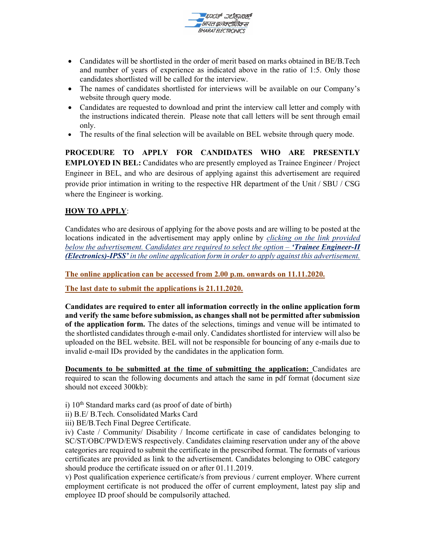

- Candidates will be shortlisted in the order of merit based on marks obtained in BE/B.Tech and number of years of experience as indicated above in the ratio of 1:5. Only those candidates shortlisted will be called for the interview.
- The names of candidates shortlisted for interviews will be available on our Company's website through query mode.
- Candidates are requested to download and print the interview call letter and comply with the instructions indicated therein. Please note that call letters will be sent through email only.
- The results of the final selection will be available on BEL website through query mode.

PROCEDURE TO APPLY FOR CANDIDATES WHO ARE PRESENTLY EMPLOYED IN BEL: Candidates who are presently employed as Trainee Engineer / Project Engineer in BEL, and who are desirous of applying against this advertisement are required provide prior intimation in writing to the respective HR department of the Unit / SBU / CSG where the Engineer is working.

# HOW TO APPLY:

Candidates who are desirous of applying for the above posts and are willing to be posted at the locations indicated in the advertisement may apply online by *clicking on the link provided* below the advertisement. Candidates are required to select the option  $-$  **Trainee Engineer-II** (Electronics)-IPSS' in the online application form in order to apply against this advertisement.

The online application can be accessed from 2.00 p.m. onwards on 11.11.2020.

The last date to submit the applications is 21.11.2020.

Candidates are required to enter all information correctly in the online application form and verify the same before submission, as changes shall not be permitted after submission of the application form. The dates of the selections, timings and venue will be intimated to the shortlisted candidates through e-mail only. Candidates shortlisted for interview will also be uploaded on the BEL website. BEL will not be responsible for bouncing of any e-mails due to invalid e-mail IDs provided by the candidates in the application form.

Documents to be submitted at the time of submitting the application: Candidates are required to scan the following documents and attach the same in pdf format (document size should not exceed 300kb):

- i)  $10<sup>th</sup>$  Standard marks card (as proof of date of birth)
- ii) B.E/ B.Tech. Consolidated Marks Card
- iii) BE/B.Tech Final Degree Certificate.

iv) Caste / Community/ Disability / Income certificate in case of candidates belonging to SC/ST/OBC/PWD/EWS respectively. Candidates claiming reservation under any of the above categories are required to submit the certificate in the prescribed format. The formats of various certificates are provided as link to the advertisement. Candidates belonging to OBC category should produce the certificate issued on or after 01.11.2019.

v) Post qualification experience certificate/s from previous / current employer. Where current employment certificate is not produced the offer of current employment, latest pay slip and employee ID proof should be compulsorily attached.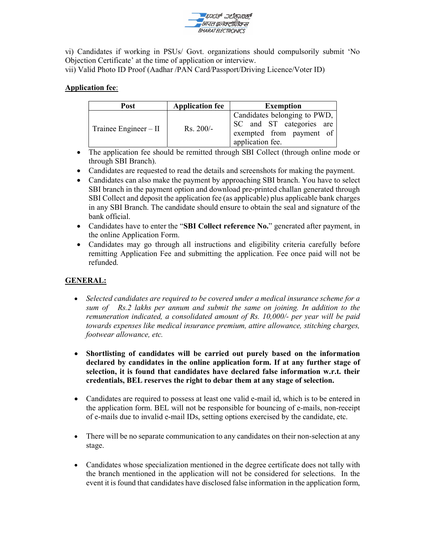

vi) Candidates if working in PSUs/ Govt. organizations should compulsorily submit 'No Objection Certificate' at the time of application or interview.

vii) Valid Photo ID Proof (Aadhar /PAN Card/Passport/Driving Licence/Voter ID)

# Application fee:

| Post                    | <b>Application fee</b> | <b>Exemption</b>                                                                                         |
|-------------------------|------------------------|----------------------------------------------------------------------------------------------------------|
| Trainee Engineer $-$ II | $Rs. 200/-$            | Candidates belonging to PWD,<br>SC and ST categories are<br>exempted from payment of<br>application fee. |

- The application fee should be remitted through SBI Collect (through online mode or through SBI Branch).
- Candidates are requested to read the details and screenshots for making the payment.
- Candidates can also make the payment by approaching SBI branch. You have to select SBI branch in the payment option and download pre-printed challan generated through SBI Collect and deposit the application fee (as applicable) plus applicable bank charges in any SBI Branch. The candidate should ensure to obtain the seal and signature of the bank official.
- Candidates have to enter the "SBI Collect reference No." generated after payment, in the online Application Form.
- Candidates may go through all instructions and eligibility criteria carefully before remitting Application Fee and submitting the application. Fee once paid will not be refunded.

# GENERAL:

- Selected candidates are required to be covered under a medical insurance scheme for a sum of Rs.2 lakhs per annum and submit the same on joining. In addition to the remuneration indicated, a consolidated amount of Rs. 10,000/- per year will be paid towards expenses like medical insurance premium, attire allowance, stitching charges, footwear allowance, etc.
- Shortlisting of candidates will be carried out purely based on the information declared by candidates in the online application form. If at any further stage of selection, it is found that candidates have declared false information w.r.t. their credentials, BEL reserves the right to debar them at any stage of selection.
- Candidates are required to possess at least one valid e-mail id, which is to be entered in the application form. BEL will not be responsible for bouncing of e-mails, non-receipt of e-mails due to invalid e-mail IDs, setting options exercised by the candidate, etc.
- There will be no separate communication to any candidates on their non-selection at any stage.
- Candidates whose specialization mentioned in the degree certificate does not tally with the branch mentioned in the application will not be considered for selections. In the event it is found that candidates have disclosed false information in the application form,